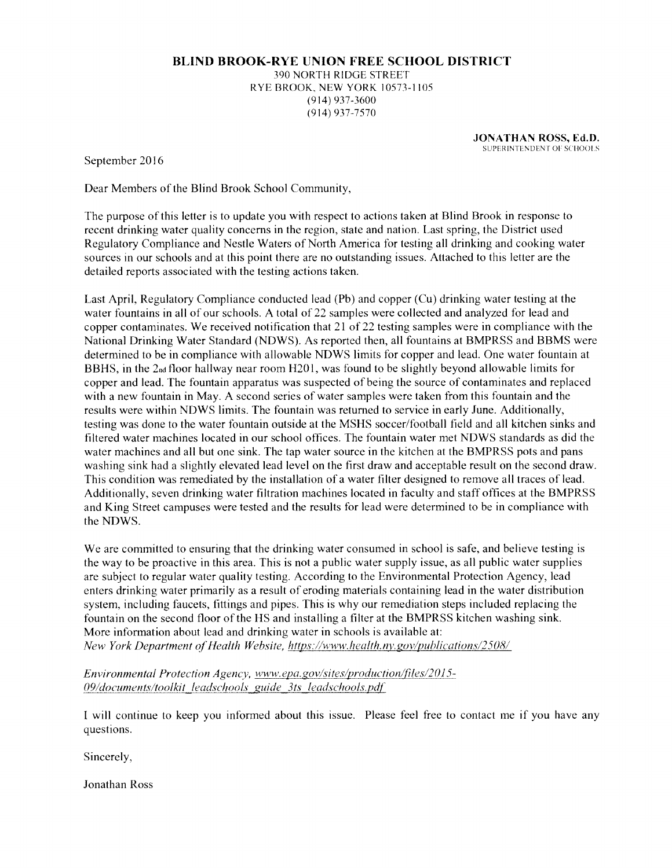#### **BLIND BROOK-RYE UNION FREE SCHOOL DISTRICT**

390 NORTH RIDGE STREET RYE BROOK, NEW YORK 10573-1105 (914) 937-3600 (914) 937-7570

> **JONATHAN ROSS, Ed.D.**  SUPERINTENDENT OF SCHOOLS

September 2016

Dear Members of the Blind Brook School Community,

The purpose of this letter is to update you with respect to actions taken at Blind Brook in response to recent drinking water quality concerns in the region, state and nation. Last spring, the District used Regulatory Compliance and Nestle Waters of North America for testing all drinking and cooking water sources in our schools and at this point there are no outstanding issues. Attached to this letter are the detailed reports associated with the testing actions taken.

Last April, Regulatory Compliance conducted lead (Pb) and copper (Cu) drinking water testing at the water fountains in all of our schools. A total of 22 samples were collected and analyzed for lead and copper contaminates. We received notification that 21 of 22 testing samples were in compliance with the National Drinking Water Standard (NOWS). As reported then, all fountains at BMPRSS and BBMS were determined to be in compliance with allowable NDWS limits for copper and lead. One water fountain at BBHS, in the  $2<sub>nd</sub>$  floor hallway near room H201, was found to be slightly beyond allowable limits for copper and lead. The fountain apparatus was suspected of being the source of contaminates and replaced with a new fountain in May. A second series of water samples were taken from this fountain and the results were within NOWS limits. The fountain was returned to service in early June. Additionally, testing was done to the water fountain outside at the MSHS soccer/football field and all kitchen sinks and filtered water machines located in our school offices. The fountain water met NOWS standards as did the water machines and all but one sink. The tap water source in the kitchen at the BMPRSS pots and pans washing sink had a slightly elevated lead level on the first draw and acceptable result on the second draw. This condition was remediated by the installation of a water filter designed to remove all traces of lead. Additionally, seven drinking water filtration machines located in faculty and staff offices at the BMPRSS and King Street campuses were tested and the results for lead were determined to be in compliance with the NDWS.

We are committed to ensuring that the drinking water consumed in school is safe, and believe testing is the way to be proactive in this area. This is not a public water supply issue, as all public water supplies are subject to regular water quality testing. According to the Environmental Protection Agency, lead enters drinking water primarily as a result of eroding materials containing lead in the water distribution system, including faucets, fittings and pipes. This is why our remediation steps included replacing the fountain on the second floor of the HS and installing a filter at the BMPRSS kitchen washing sink. More information about lead and drinking water in schools is available at: *New York Department of Health Website, [https://www.health.nv.gov/publications/2508/](https://www.health.nv.gov/publications/2508)* 

*Environmental Protection Agency, www.epa.gov/sites/production/files/2015-*09/documents/toolkit leadschools guide 3ts leadschools.pdf

I will continue to keep you informed about this issue. Please feel free to contact me if you have any questions.

Sincerely,

Jonathan Ross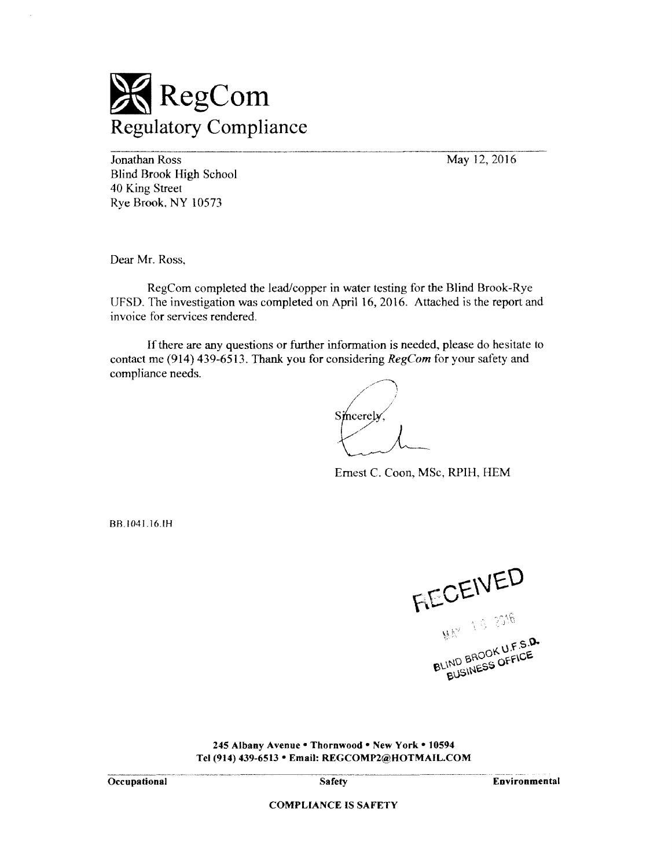

Jonathan Ross May 12, 2016 Blind Brook High School 40 King Street Rye Brook, NY 10573

Dear Mr. Ross,

RegCom completed the lead/copper in water testing for the Blind Brook-Rye UFSD. The investigation was completed on April 16, 2016. Attached is the report and invoice for services rendered.

If there are any questions or further information is needed, please do hesitate to contact me (914) 439-6513. Thank you for considering *RegCom* for your safety and compliance needs.

Smcerely

Ernest C. Coon, MSc, RPIH, HEM

[BB.1041.16.IH](https://BB.1041.16.IH) 

**FIE CEIVED** 

**245 Albany Avenue• Thornwood** • **New York• 10594 Tel (914) 439-6513** • **Email: [REGCOMP2@HOTMAIL.COM](mailto:REGCOMP2@HOTMAIL.COM)** 

**Occupational Safety** 

**Environmental** 

**COMPLIANCE IS SAFETY**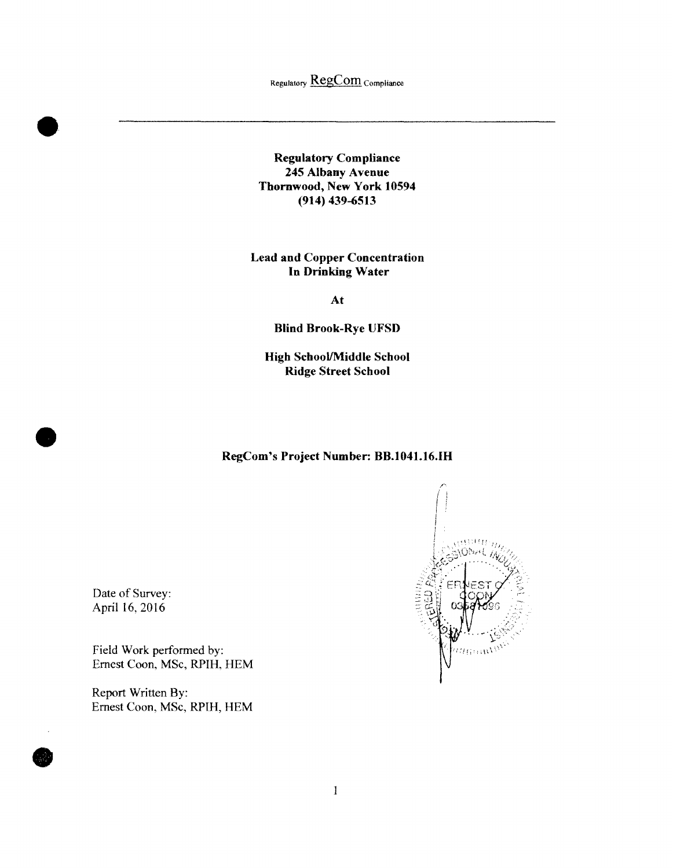## Regulatory Compliance 245 Albany Avenue Thornwood, New York 10594 (914) 439-6513

## **Lead and Copper Concentration In Drinking Water**

**At** 

**Blind Brook-Rye UFSD** 

**High School/Middle School Ridge Street School** 

## **RegCom's Project Number: [BB.1041.16.IH](https://BB.1041.16.IH)**



Date of Survey: April 16, 2016

Field Work performed by: Ernest Coon, MSc, RPIH, HEM

Report Written By: Ernest Coon, MSc, RPIH, HEM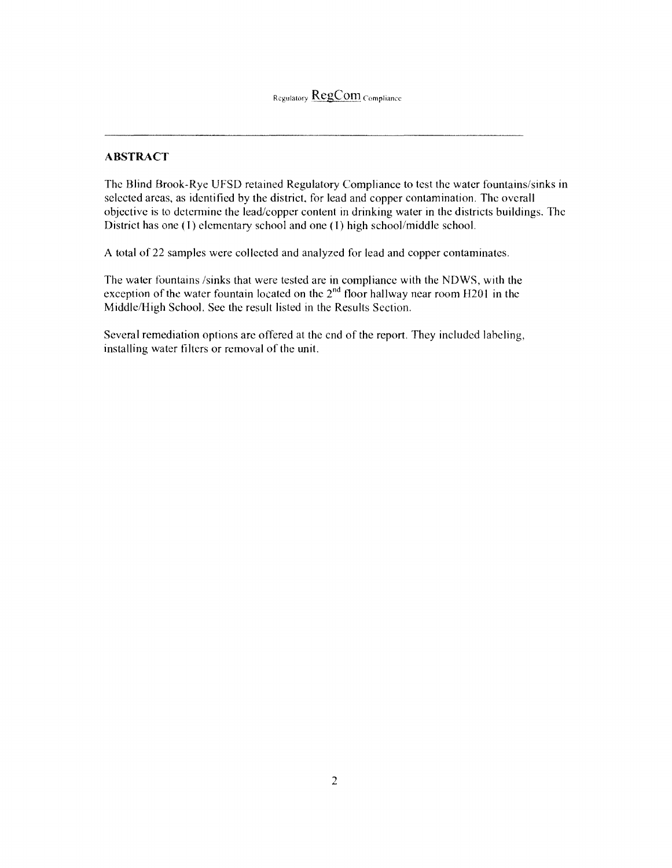### **ABSTRACT**

The Blind Brook-Rye UFSD retained Regulatory Compliance to test the water fountains/sinks in selected areas, as identified by the district, for lead and copper contamination. The overall objective is to determine the lead/copper content in drinking water in the districts buildings. The District has one (I) elementary school and one (I) high school/middle school.

A total of 22 samples were collected and analyzed for lead and copper contaminates.

The water fountains /sinks that were tested are in compliance with the NOWS, with the exception of the water fountain located on the  $2<sup>nd</sup>$  floor hallway near room H201 in the Middle/High School. See the result listed in the Results Section.

Several remediation options arc offered at the end of the report. They included labeling, installing water filters or removal of the unit.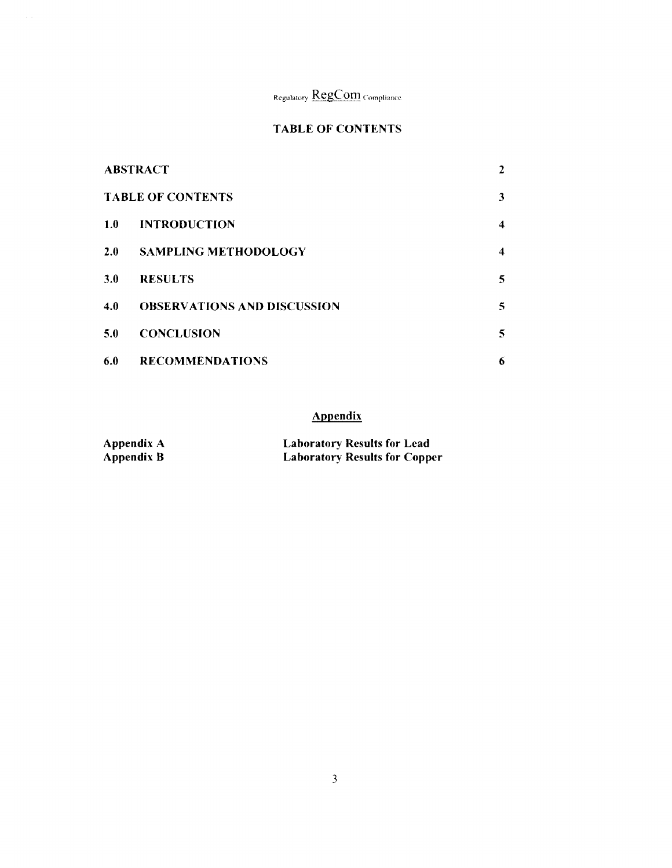$\langle \varphi_{\alpha} \rangle$ 

## **TABLE OF CONTENTS**

|     | <b>ABSTRACT</b>                    |                         |  |
|-----|------------------------------------|-------------------------|--|
|     | <b>TABLE OF CONTENTS</b>           | 3                       |  |
| 1.0 | <b>INTRODUCTION</b>                | $\overline{\mathbf{4}}$ |  |
| 2.0 | <b>SAMPLING METHODOLOGY</b>        | $\boldsymbol{4}$        |  |
| 3.0 | <b>RESULTS</b>                     | 5                       |  |
| 4.0 | <b>OBSERVATIONS AND DISCUSSION</b> | 5                       |  |
| 5.0 | <b>CONCLUSION</b>                  | 5                       |  |
| 6.0 | <b>RECOMMENDATIONS</b>             | 6                       |  |

## Appendix

| Appendix A | <b>Laboratory Results for Lead</b>   |
|------------|--------------------------------------|
| Appendix B | <b>Laboratory Results for Copper</b> |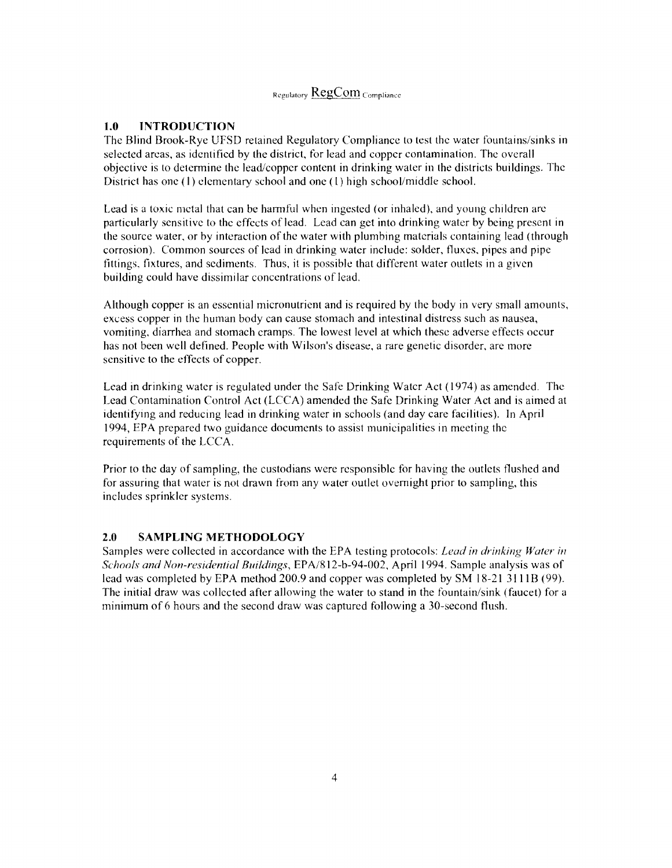### **1.0 INTRODUCTION**

The Blind Brook-Rye UFSD retained Regulatory Compliance to test the water fountains/sinks in selected areas, as identified by the district, for lead and copper contamination. The overall objective is to determine the lead/copper content in drinking water in the districts buildings. The District has one (1) elementary school and one (1) high school/middle school.

Lead is a toxic metal that can be harmful when ingested (or inhaled), and young children arc particularly sensitive to the effects of lead. Lead can get into drinking water by being present in the source water, or by interaction of the water with plumbing materials containing lead (through corrosion). Common sources of lead in drinking water include: solder, fluxes, pipes and pipe fittings, fixtures, and sediments. Thus, it is possible that different water outlets in a given building could have dissimilar concentrations of lead.

Although copper is an essential micronutrient and is required by the body in very small amounts, excess copper in the human body can cause stomach and intestinal distress such as nausea, vomiting, diarrhea and stomach cramps. The lowest level at which these adverse effects occur has not been well defined. People with Wilson's disease, a rare genetic disorder, are more sensitive to the effects of copper.

Lead in drinking water is regulated under the Safe Drinking Water Act ( 1974) as amended. The Lead Contamination Control Act (LCCA) amended the Safe Drinking Water Act and is aimed at identifying and reducing lead in drinking water in schools (and day care facilities). In April 1994, EPA prepared two guidance documents to assist municipalities in meeting the requirements of the LCCA.

Prior to the day of sampling, the custodians were responsible for having the outlets flushed and for assuring that water is not drawn from any water outlet overnight prior to sampling, this includes sprinkler systems.

### **2.0 SAMPLING METHODOLOGY**

Samples were collected in accordance with the EPA testing protocols: *Lead in drinking Water in Schools and Non-residential Buildings, EPA/812-b-94-002, April 1994. Sample analysis was of* lead was completed by EPA method 200.9 and copper was completed by SM 18-21 3111B (99). The initial draw was collected after allowing the water to stand in the fountain/sink (faucet) for a minimum of 6 hours and the second draw was captured following a 30-second flush.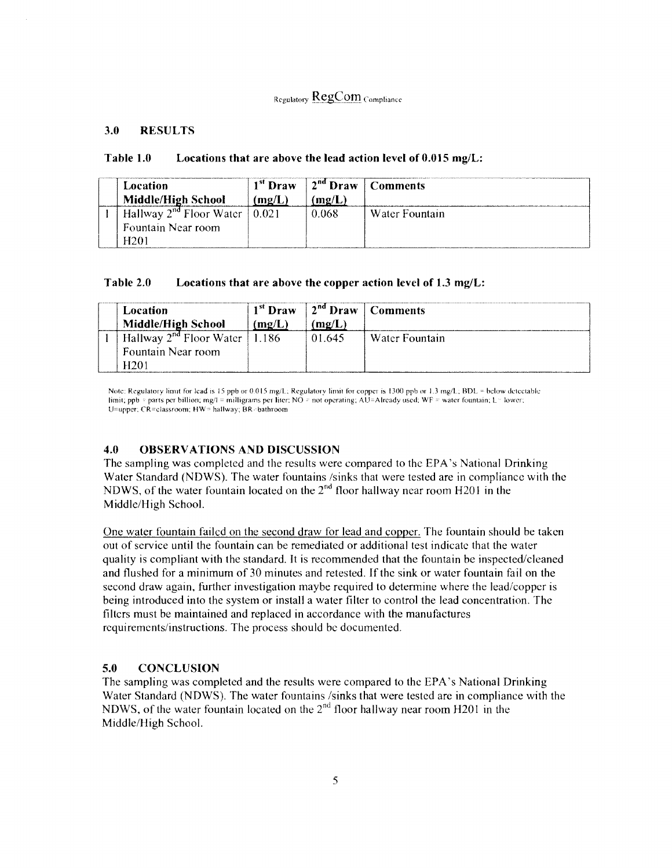### $_{\rm Requlatory RegCom <sub>Compliance</sub>$ </mark></sub>

### **3.0 RESULTS**

#### Table 1.0 Locations that are above the lead action level of 0.015 mg/L:

| Location<br>Middle/High School              | $1st$ Draw<br>(mg/L | (mg/L) | $\pm 2^{nd}$ Draw $\pm$ Comments |
|---------------------------------------------|---------------------|--------|----------------------------------|
| Hallway 2 <sup>nd</sup> Floor Water   0.021 |                     | 0.068  | Water Fountain                   |
| Fountain Near room                          |                     |        |                                  |
| H20                                         |                     |        |                                  |

#### **Table 2.0 Locations that are above the copper action level of 1.3 mg/L:**

| Location<br><b>Middle/High School</b> | $1st$ Draw<br>(mg/L) | $(\text{me/L})$ | $2nd$ Draw $\vert$ Comments |
|---------------------------------------|----------------------|-----------------|-----------------------------|
| Hallway $2^{nd}$ Floor Water   1.186  |                      | 01.645          | Water Fountain              |
| Fountain Near room                    |                      |                 |                             |
|                                       |                      |                 |                             |

Note: Regulatory limit for lead is 15 ppb or 0.015 mg/L; Regulatory limit for copper is 1300 ppb or 1.3 mg/L; BDL = below detectable limit; ppb = parts per billion; mg/I = milligrams per liter: NO = not operating; AU=Already used: WF = water fountain; L = lower; U=uppcr; CR=classroom; HW= hallway; BR-bathroom

### **4.0 OBSERVATIONS AND DISCUSSION**

The sampling was completed and the results were compared to the EPA's National Drinking Water Standard (NDWS). The water fountains /sinks that were tested are in compliance with the **NDWS,** of the water fountain located on the 2nd floor hallway near room H20 I in the Middle/High School.

One water fountain failed on the second draw for lead and copper. The fountain should be taken out of service until the fountain can be remediated or additional test indicate that the water quality is compliant with the standard. It is recommended that the fountain be inspected/cleaned and flushed for a minimum of 30 minutes and retested. If the sink or water fountain fail on the second draw again, further investigation maybe required to determine where the lead/copper is being introduced into the system or install a water filter to control the lead concentration. The filters must be maintained and replaced in accordance with the manufactures requirements/instructions. The process should be documented.

### **5.0 CONCLUSION**

The sampling was completed and the results were compared to the EPA's National Drinking Water Standard (NDWS). The water fountains /sinks that were tested are in compliance with the NDWS, of the water fountain located on the  $2<sup>nd</sup>$  floor hallway near room H201 in the Middle/High School.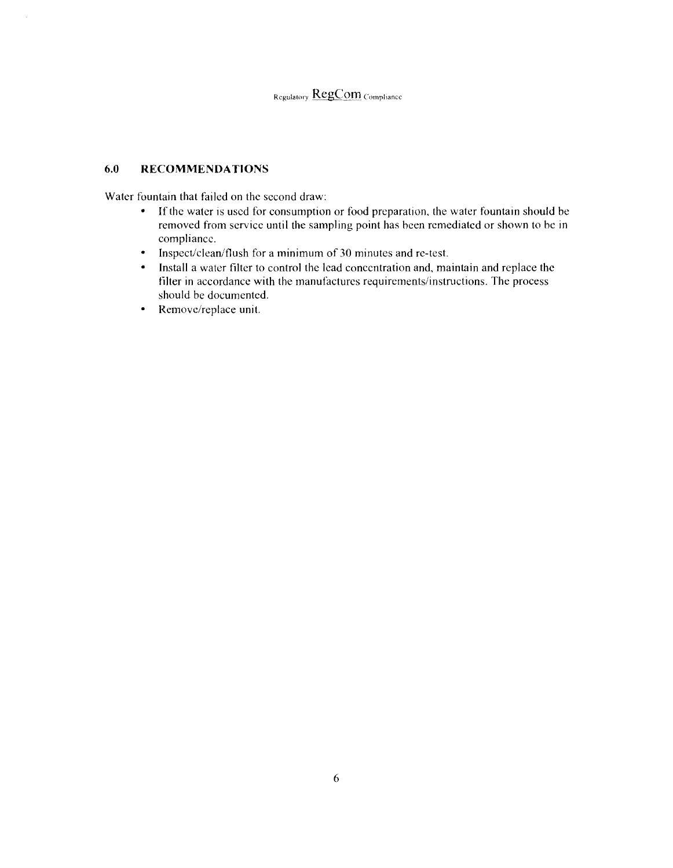### **6.0 RECOMMENDATIONS**

Water fountain that failed on the second draw:

- If the water is used for consumption or food preparation. the water fountain should be removed from service until the sampling point has been remediatcd or shown to be in compliance.
- Inspect/clean/flush for a minimum of 30 minutes and re-test.
- Install a water filter to control the lead concentration and, maintain and replace the filter in accordance with the manufactures requirements/instructions. The process should be documented.
- Remove/replace unit.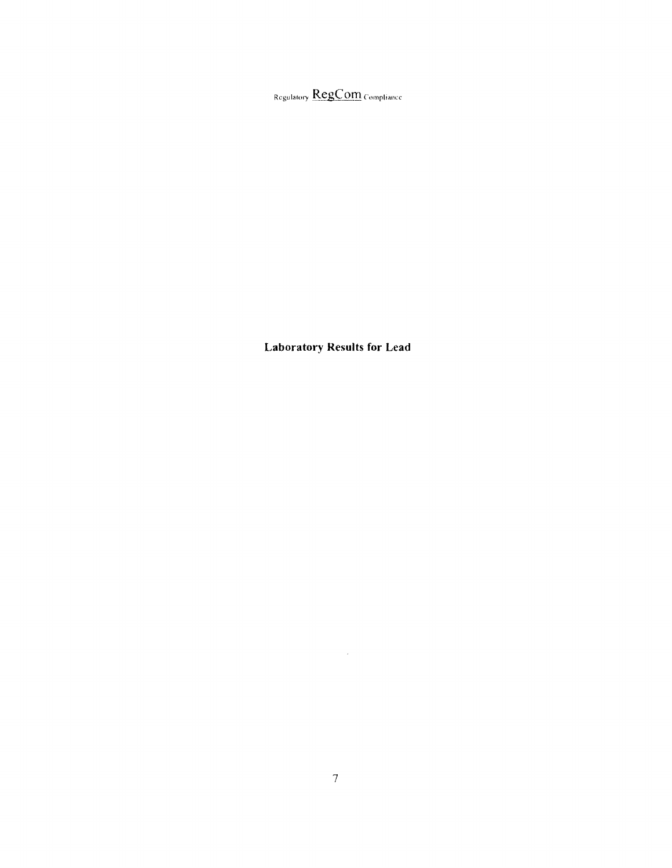**Laboratory Results for Lead** 

 $\hat{L}^{(1)}$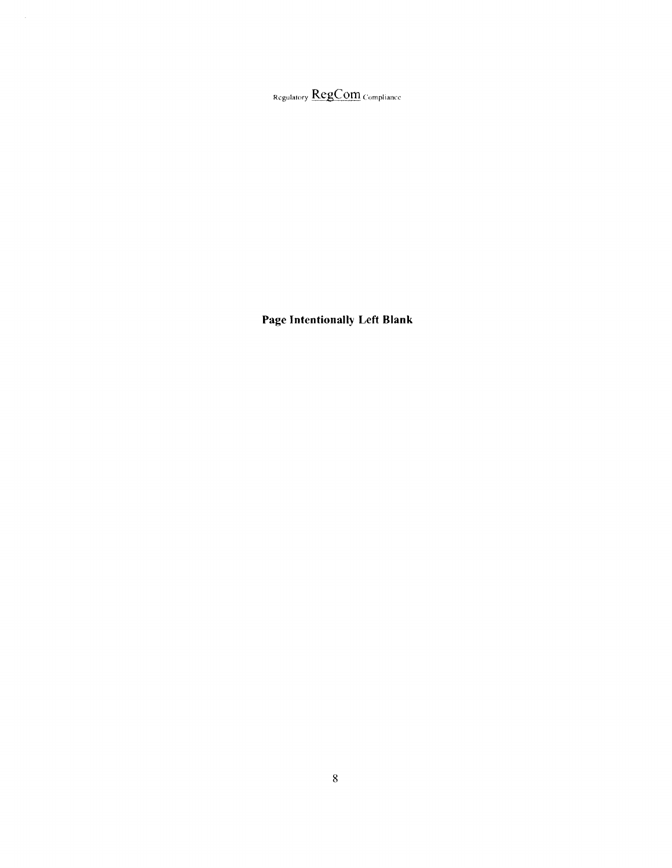$\mathcal{L}_{\mathcal{A}}$ 

**Page Intentionally Left Blank**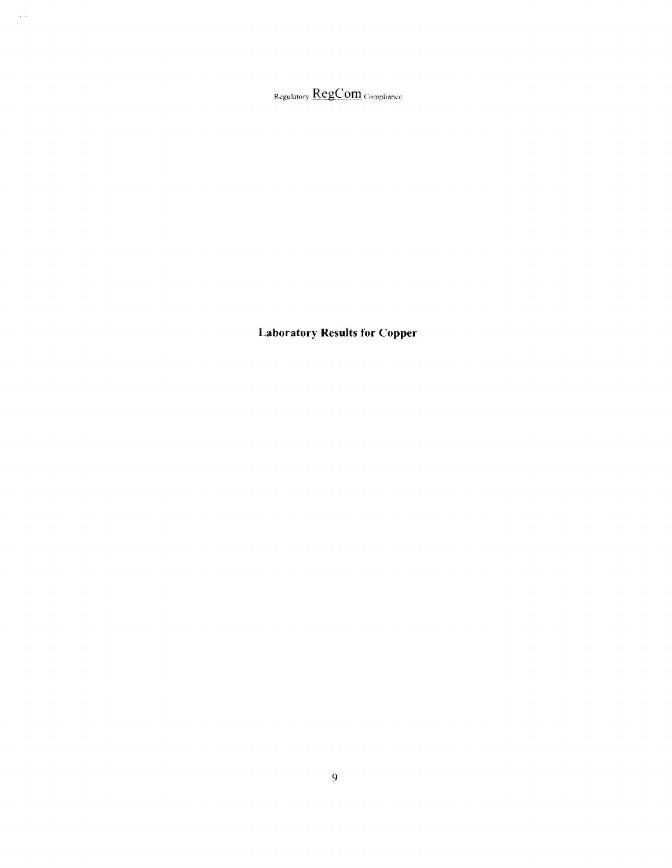**Laboratory Results for Copper**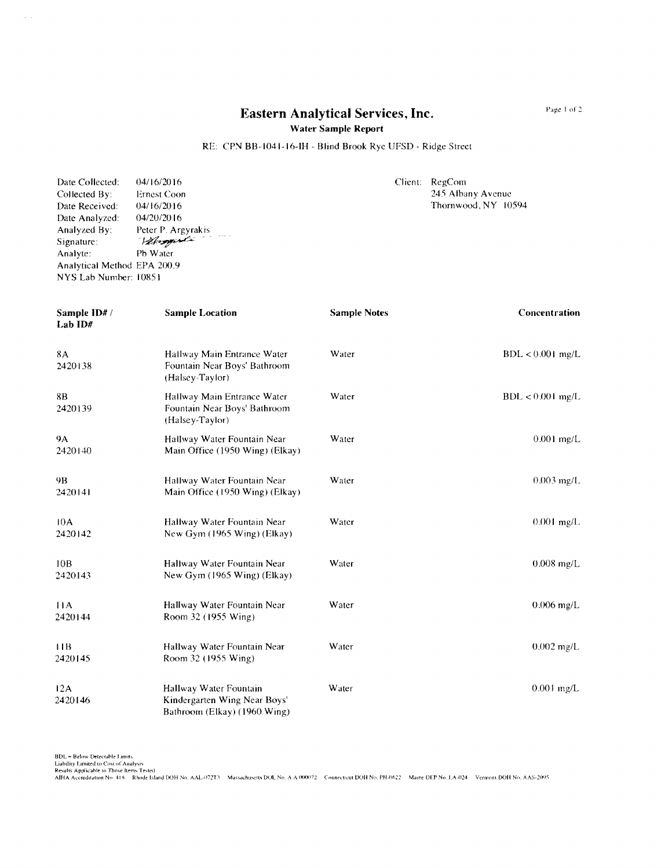**Water Sample Report** 

RE: CPN BB-1041-16-IH - Blind Brook Rye UFSD - Ridge Street

Date Collected: 04/16/2016 Client: RegCom 245 Albany Avenue Collected By: **Ernest Coon** Thornwood, NY 10594 Date Received:  $04/16/2016$ Date Analyzed: 04/20/2016 Analyzed By: Peter P. Argyrakis  $\frac{1}{2}$  ,  $\frac{1}{2}$ Hogyat Signature: Pb Water Analyte: Analytical Method EPA 200.9 NYS Lab Number: 10851

| Sample ID#/<br>Lab ID#  | <b>Sample Location</b>                                                                 | <b>Sample Notes</b> | Concentration        |
|-------------------------|----------------------------------------------------------------------------------------|---------------------|----------------------|
| 8A<br>2420138           | Hallway Main Entrance Water<br>Fountain Near Boys' Bathroom<br>(Halsey-Taylor)         | Water               | $BDL < 0.001$ mg/L   |
| 8B<br>2420139           | Hallway Main Entrance Water<br>Fountain Near Boys' Bathroom<br>(Halsey-Taylor)         | Water               | $BDL < 0.001$ mg/L   |
| <b>9A</b><br>2420140    | Hallway Water Fountain Near<br>Main Office (1950 Wing) (Elkay)                         | Water               | $0.001$ mg/L         |
| 9B<br>2420141           | Hallway Water Fountain Near<br>Main Office (1950 Wing) (Elkay)                         | Water               | $0.003$ mg/L         |
| 10A<br>2420142          | Hallway Water Fountain Near<br>New Gym (1965 Wing) (Elkay)                             | Water               | $0.001$ mg/L         |
| 10B<br>2420143          | Hallway Water Fountain Near<br>New Gym (1965 Wing) (Elkay)                             | Water               | $0.008$ mg/L         |
| $\mathsf{H}$<br>2420144 | Hallway Water Fountain Near<br>Room 32 (1955 Wing)                                     | Water               | $0.006$ mg/L         |
| 11B<br>2420145          | Hallway Water Fountain Near<br>Room 32 (1955 Wing)                                     | Water               | $0.002 \text{ mg/L}$ |
| 12A<br>2420146          | Hallway Water Fountain<br>Kindergarten Wing Near Boys'<br>Bathroom (Elkay) (1960 Wing) | Water               | $0.001$ mg/L         |

BDL = Below Detectable Limits

 $\sim$   $\sim$ 

Duch = Diction of the Second Control of Analysis<br>Results Applicable to Those Items Tested<br>AIHA Accreditation No. 418 – Rhode Island DOH No. AAL-072T3 – Massachusetts DOL No. A AWK072 – Connecticut DOH No. PH-1622 – Maine D

Page 1 of 2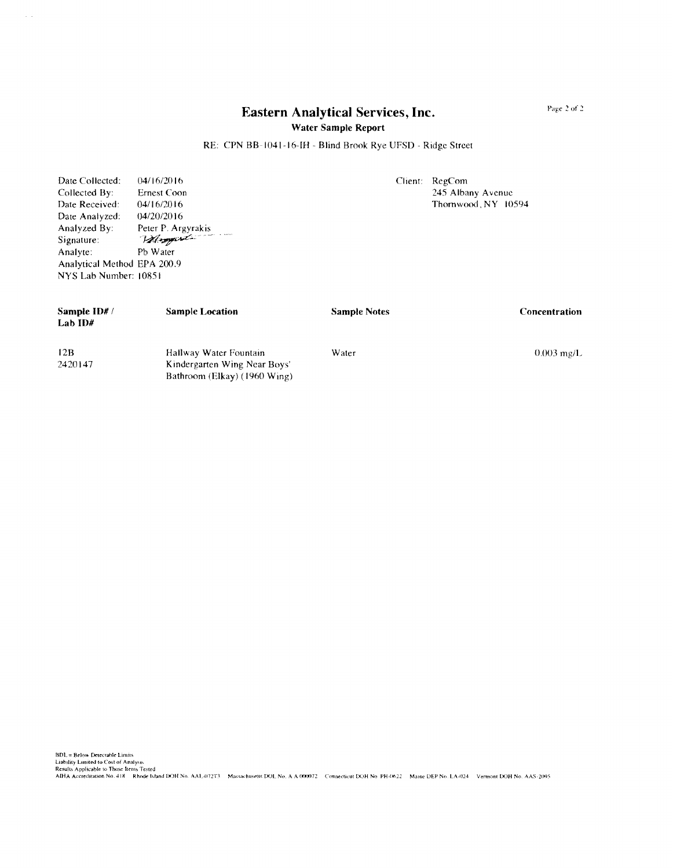**Water Sample Report** 

RE: CPN BB-1041-16-IH - Blind Brook Rye UFSD - Ridge Street

Client: RegCom 245 Albany Avenue Thomwood. NY 10594

Date Collected: 04/16/2016 Collected By: Ernest Coon<br>Date Received: 04/16/2016 Date Received: 04/16/2016<br>Date Analyzed: 04/20/2016 Date Analyzed:<br>Analyzed By: Analyzed By: Peter P. Argyrakis<br>Signature: <sup>1</sup>24 Magazir Analyte: Pb Water Analytical Method EPA 200.9 NYS Lab Number: 10851

 $\sim$   $\sim$ 

| Sample ID# /<br>Lab ID# | <b>Sample Location</b>                                       | <b>Sample Notes</b> | Concentration |
|-------------------------|--------------------------------------------------------------|---------------------|---------------|
| 12B                     | Hallway Water Fountain                                       | Water               | $0.003$ mg/L  |
| 2420147                 | Kindergarten Wing Near Boys'<br>Bathroom (Elkay) (1960 Wing) |                     |               |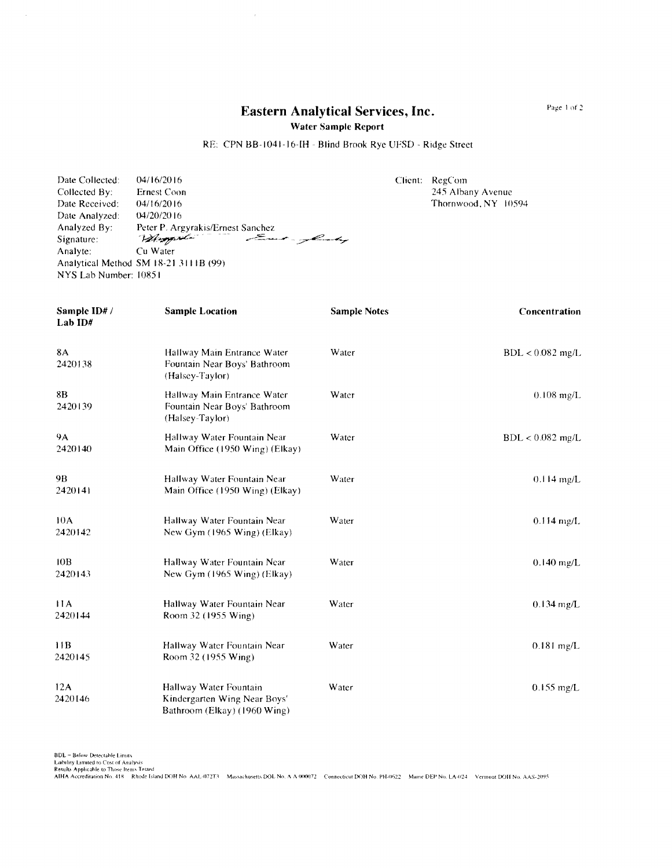## **Eastern Analytical Services, Inc.** Page 1 of 2

**Water Sample Report** 

#### RE: CPN BB-1041-16-IH - Blind Brook Rye UFSD - Ridge Street

Client: RegCom

245 Albany Avenue Thornwood. NY 10594

Date Collected: 04/16/2016<br>Collected By: Ernest Coon Collected By: Date Received: 04/16/2016<br>Date Analyzed: 04/20/2016 Date Analyzed: Analyzed By: Peter **P.** Argyrakis/Ernest Sanchez Analyzed by: *CONTRIGRATION CONTRIGUES*<br>Signature: *<i>Memphilian Contribution* Cu Water Analytical Method SM 18-21 3111B (99) NYS Lab Number: 10851

**Sample ID#/**  Lab ID# 8A 2420138 8B 2420139 9A 2420140 9B 2420141 I0A 2420142 IOB 2420143 IIA 2420144 118 2420145 12A 2420146 **Sample Location**  Hallway Main Entrance Water Fountain Near Boys' Bathroom (Halsey-Taylor) Hallway Main Entrance Water Fountain Near Boys' Bathroom (Halsey-Taylor) Hallway Water Fountain Near Main Office (1950 Wing) (Elkay) Hallway Water Fountain Near Main Office (1950 Wing) (Elkay) Hallway Water Fountain Near New Gym ( 1965 Wing) (Elkay) Hallway Water Fountain Near New Gym (1965 Wing) (Elkay) Hallway Water Fountain Near Room 32 ( 1955 Wing) Hallway Water Fountain Near Room 32 *(* 1955 Wing) Hallway Water Fountain Kindergarten Wing Near Boys' Bathroom (Elkay) (1960 Wing) **Sample Notes**  Water Water Water Water Water Water Water Water Water **Concentration**  BDL < 0.082 mg/L 0.108 mg/L BDL < 0.082 mg/L 0.114 mg/L 0.114mg/L 0.140 mg/L 0.134 mg/L 0181 mg/L 0.155 mg/L

BDL - Below Detectable Limits

Liability Limited to Cost of Analysis<br>Results Applicable to Those Items Tested

AIHA Accreditation No. 418 Rhode-Island DOH No AAL-072T3 Massachusetts DOL No. A A 000072 Connecticut DOH No. PH-0622 Mume DEP No. LA-024 Vermont DOH No. AAS-2095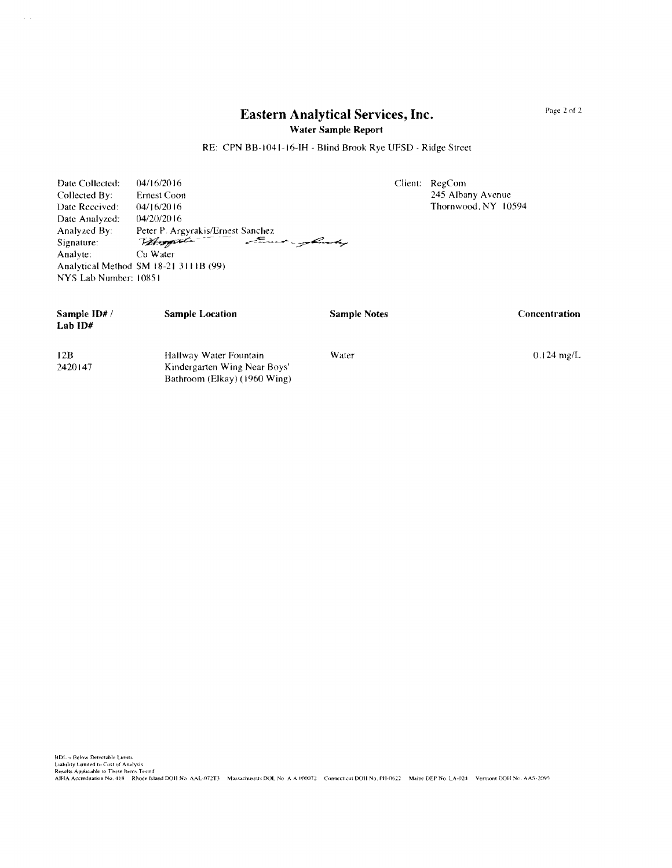**Water Sample Report** 

#### RE: CPN BB-1041-16-IH - Blind Brook Rye UFSD - Ridge Street

Client: RegCom 245 Albany Avenue Thornwood, NY 10594

Date Collected: 04/16/2016 Collected By: Ernest Coon Date Received: 04/16/2016 Date Analyzed: 04/20/2016 Analyzed By: Peter P. Argyrakis/Ernest Sanchez The magnetic contract of the first of Signature: Analyte: Cu Water Analytical Method SM 18-21 3111B (99) NYS Lab Number: 10851

 $\sim$   $\sim$ 

| <b>Sample Location</b>                                 | <b>Sample Notes</b>          | Concentration        |
|--------------------------------------------------------|------------------------------|----------------------|
| Hallway Water Fountain<br>Kindergarten Wing Near Boys' | Water                        | $0.124 \text{ mg/L}$ |
|                                                        | Bathroom (Elkay) (1960 Wing) |                      |

Page 2 of 2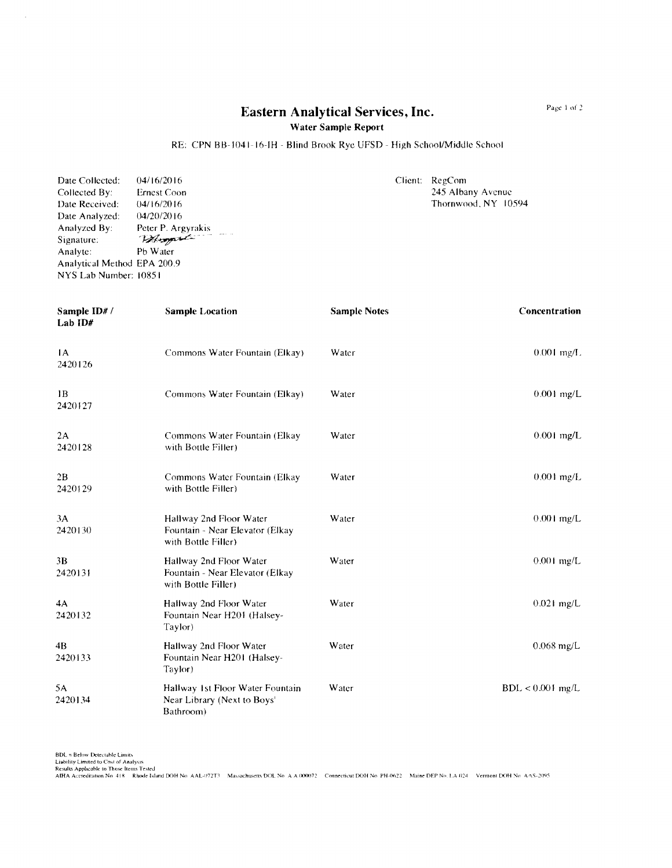#### **Water Sample Report**

#### RE: CPN BB-1041-16-IH - Blind Brook Rye UFSD - High School/Middle School

Client: RegCom

245 Albany Avenue Thornwood, NY 10594

Date Collected: 04/16/2016 Collected By: Ernest Coon Date Received: 04/16/2016 04/20/2016 Date Analyzed: Analyzed By: Peter P. Argyrakis  $\mathbb{R}^2$ Morgarti Signature: Analyte: Pb Water Analytical Method EPA 200.9 NYS Lab Number: 10851

Sample ID#/ **Sample Notes** Concentration **Sample Location** Lab  $ID#$  $0.001$  mg/L  $\mathsf{I}$ A Commons Water Fountain (Elkay) Water 2420126  $1\,\mathrm{B}$ Commons Water Fountain (Elkay) Water  $0.001$  mg/L 2420127  $2A$ Commons Water Fountain (Elkay Water 0.001 mg/L 2420128 with Bottle Filler)  $2B$ Commons Water Fountain (Elkay 0.001 mg/L Water 2420129 with Bottle Filler)  $3A$ Hallway 2nd Floor Water Water  $0.001$  mg/L 2420130 Fountain - Near Elevator (Elkay with Bottle Filler) 0.001 mg/L  $3B$ Hallway 2nd Floor Water Water Fountain - Near Elevator (Elkay 2420131 with Bottle Filler) Water  $0.021$  mg/L  $4A$ Hallway 2nd Floor Water 2420132 Fountain Near H201 (Halsey-Taylor)  $4B$ Hallway 2nd Floor Water Water  $0.068$  mg/L 2420133 Fountain Near H201 (Halsey-Taylor)  $BDL < 0.001$  mg/L 5A Hallway 1st Floor Water Fountain Water 2420134 Near Library (Next to Boys' Bathroom)

BDL = Below Detectable Limits<br>Liability Limited to Cost of Analysis

Results Applicable to Those Items Tested<br>AIHA Accreditation No. 418 - Rhode Island DOH No. AAL-072T3 - Massachusetts DOL No. A.A.000072 - Connecticut DOH No. PH-0622 - Maine DEP No. LA 024 - Vermont DOH No. AAS-2095

Page 1 of 2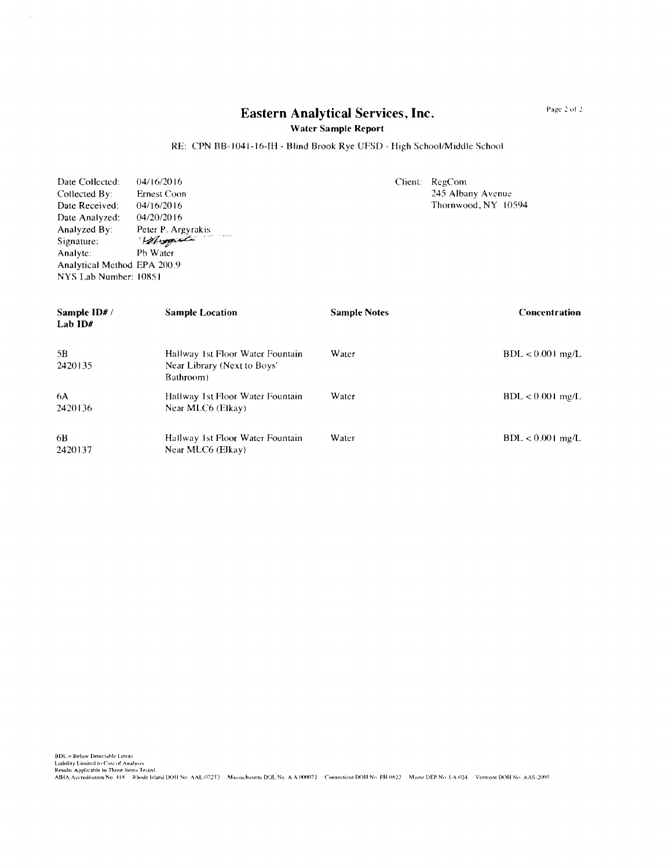**Water Sample Report** 

#### RE: CPN BB-1041-16-IH - Blind Brook Rye UFSD - High School/Middle School

Date Collected: 04/16/2016 Client: RegCom Collected By: 245 Albany Avenue Ernest Coon Date Received: 04/16/2016 Thornwood, NY 10594 Date Analyzed: 04/20/2016 Analyzed By: Peter P. Argyrakis Morgant Signature: Analyte: Pb Water Analytical Method EPA 200.9 NYS Lab Number: 10851 Sample ID#/ **Sample Location Sample Notes** Concentration Lab ID#  $5B$ Hallway 1st Floor Water Fountain Water  $BDL < 0.001$  mg/L 2420135 Near Library (Next to Boys'

Bathroom)

6A Hallway 1st Floor Water Fountain Water  $BDL < 0.001$  mg/L 2420136 Near MLC6 (Elkay) Hallway 1st Floor Water Fountain Water  $BDL < 0.001$  mg/L 6B Near MLC6 (Elkay) 2420137

Page 2 of 2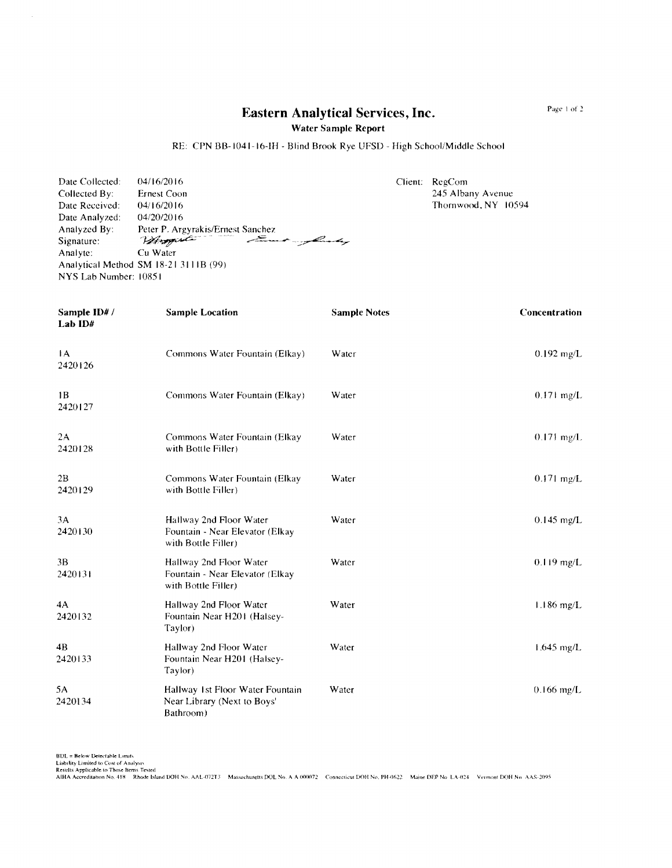**Water Sample Report** 

RE: CPN BB-1041-16-IH - Blind Brook Rye UFSD - High School/Middle School

Date Collected: 04/16/2016 Collected By: **Ernest Coon** Date Received: 04/16/2016 Date Analyzed: 04/20/2016 Peter P. Argyrakis/Ernest Sanchez Analyzed By: Signature: Analyte: Cu Water Analytical Method SM 18-21 3111B (99) NYS Lab Number: 10851

Client: RegCom 245 Albany Avenue Thornwood, NY 10594

| Sample ID#/<br>Lab ID#             | <b>Sample Location</b>                                                            | <b>Sample Notes</b> | Concentration |
|------------------------------------|-----------------------------------------------------------------------------------|---------------------|---------------|
| $\mathsf{I} \mathsf{A}$<br>2420126 | Commons Water Fountain (Elkay)                                                    | Water               | $0.192$ mg/L  |
| 1B<br>2420127                      | Commons Water Fountain (Elkay)                                                    | Water               | $0.171$ mg/L  |
| 2A<br>2420128                      | Commons Water Fountain (Elkay<br>with Bottle Filler)                              | Water               | $0.171$ mg/L. |
| 2B<br>2420129                      | Commons Water Fountain (Elkay<br>with Bottle Filler)                              | Water               | $0.171$ mg/L  |
| 3A<br>2420130                      | Hallway 2nd Floor Water<br>Fountain - Near Elevator (Elkay<br>with Bottle Filler) | Water               | $0.145$ mg/L  |
| 3B<br>2420131                      | Hallway 2nd Floor Water<br>Fountain - Near Elevator (Elkay<br>with Bottle Filler) | Water               | $0.119$ mg/L  |
| 4A<br>2420132                      | Hallway 2nd Floor Water<br>Fountain Near H201 (Halsey-<br>Taylor)                 | Water               | $1.186$ mg/L  |
| 4B<br>2420133                      | Hallway 2nd Floor Water<br>Fountain Near H201 (Halsey-<br>Taylor)                 | Water               | $1.645$ mg/L  |
| 5A<br>2420134                      | Hallway 1st Floor Water Fountain<br>Near Library (Next to Boys'<br>Bathroom)      | Water               | $0.166$ mg/L  |

BDL = Below Detectable Limits<br>Liability Limited to Cost of Analysis<br>Results Applicable to Those Items Tested<br>AIHA Accreditation No. 418 - Rhode Island DOH No. AAL-072T3 - Massachusetts DOL No. A 4 000072 - Connecticut DOR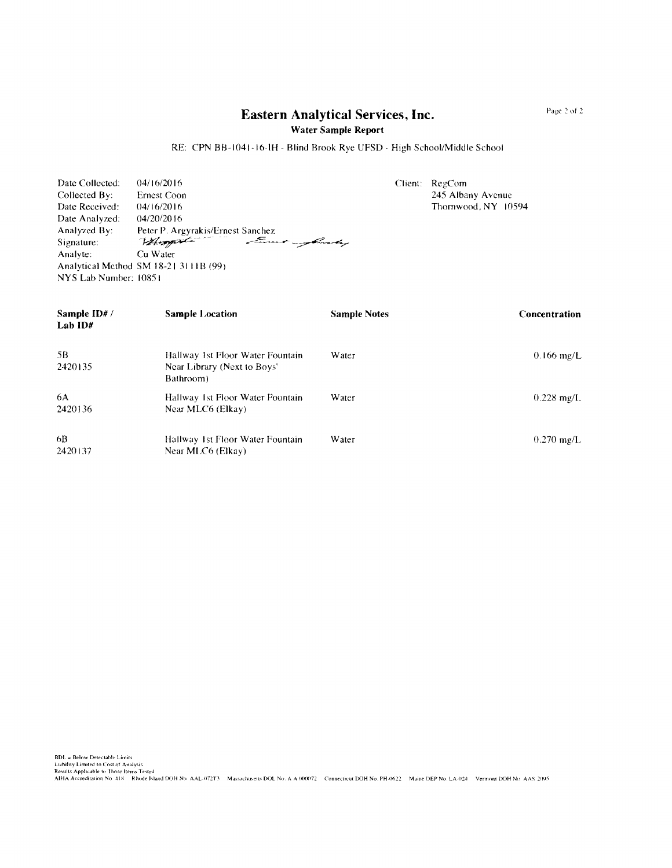**Water Sample Report** 

RE: CPN BB-1041-16-IH - Blind Brook Rye UFSD - High School/Middle School

Client: RegCom 245 Albany Avenue Thornwood, NY 10594

04/16/2016 Date Collected: Collected By: Ernest Coon Date Received: 04/16/2016 Date Analyzed: 04/20/2016 Analyzed By: Peter P. Argyrakis/Ernest Sanchez Warpart Emer Sunday Signature: Analyte: Cu Water Analytical Method SM 18-21 3111B (99) NYS Lab Number: 10851

| Sample ID#/<br>Lab $ID#$ | <b>Sample Location</b>                                                       | <b>Sample Notes</b> | <b>Concentration</b> |
|--------------------------|------------------------------------------------------------------------------|---------------------|----------------------|
| 5В<br>2420135            | Hallway 1st Floor Water Fountain<br>Near Library (Next to Boys'<br>Bathroom) | Water               | $0.166$ mg/L         |
| 6A<br>2420136            | Hallway 1st Floor Water Fountain<br>Near MLC6 (Elkay)                        | Water               | $0.228 \text{ mg/L}$ |
| 6B<br>2420137            | Hallway 1st Floor Water Fountain<br>Near MLC6 (Elkay)                        | Water               | $0.270 \text{ mg/L}$ |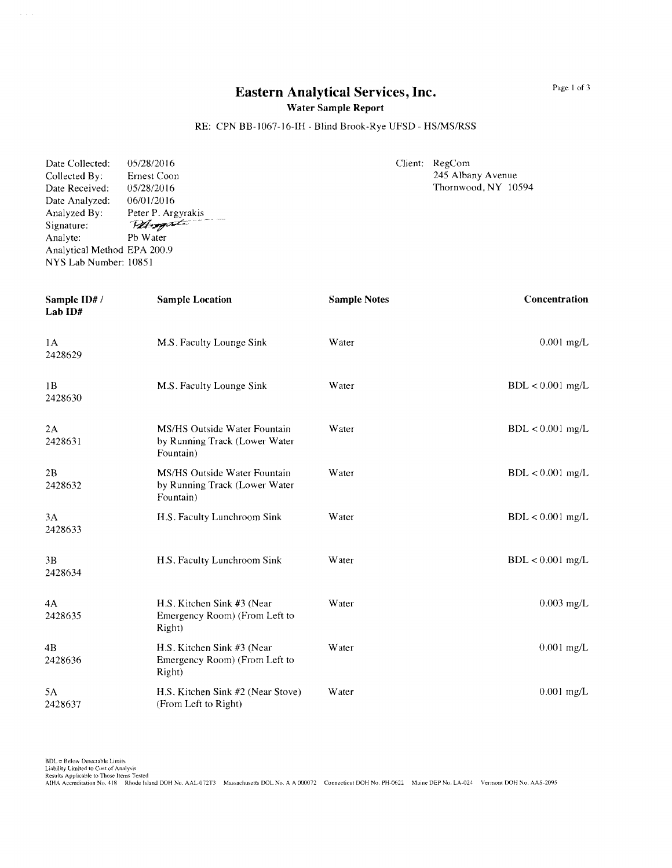# **Eastern Analytical Services, Inc.** Page 1 of 3

**Water Sample Report** 

RE: CPN BB-1067-16-IH - Blind Brook-Rye UFSD- HS/MS/RSS

Date Collected: 05/28/2016 Collected By: Ernest Coon Date Received: 05/28/2016 Date Analyzed: 06/01/2016 Analyzed By: Peter P. Argyrakis Signature: **Magnutic Property** Analyte: Pb Water Analytical Method EPA 200.9 NYS Lab Number: 10851

 $\epsilon \ll \epsilon$ 

Client: RegCom 245 Albany Avenue Thornwood, NY 10594

| Sample ID#/<br>Lab ID# | <b>Sample Location</b>                                                     | <b>Sample Notes</b> | Concentration      |
|------------------------|----------------------------------------------------------------------------|---------------------|--------------------|
| 1A<br>2428629          | M.S. Faculty Lounge Sink                                                   | Water               | $0.001$ mg/L       |
| 1B<br>2428630          | M.S. Faculty Lounge Sink                                                   | Water               | $BDL < 0.001$ mg/L |
| 2A<br>2428631          | MS/HS Outside Water Fountain<br>by Running Track (Lower Water<br>Fountain) | Water               | $BDL < 0.001$ mg/L |
| 2B<br>2428632          | MS/HS Outside Water Fountain<br>by Running Track (Lower Water<br>Fountain) | Water               | $BDL < 0.001$ mg/L |
| 3A<br>2428633          | H.S. Faculty Lunchroom Sink                                                | Water               | $BDL < 0.001$ mg/L |
| 3B<br>2428634          | H.S. Faculty Lunchroom Sink                                                | Water               | $BDL < 0.001$ mg/L |
| 4A<br>2428635          | H.S. Kitchen Sink #3 (Near<br>Emergency Room) (From Left to<br>Right)      | Water               | $0.003$ mg/L       |
| 4B<br>2428636          | H.S. Kitchen Sink #3 (Near<br>Emergency Room) (From Left to<br>Right)      | Water               | $0.001$ mg/L       |
| 5A<br>2428637          | H.S. Kitchen Sink #2 (Near Stove)<br>(From Left to Right)                  | Water               | $0.001$ mg/L       |

Liability Limited to Cost of Analysis<br>Results Applicable to Those Items Tested<br>AIHA Accreditation No. 418 – Rhode Island DOH No. AAL-072T3 – Massachusetts DOL No. A A 000072 – Connecticut DOH No. PH-0622 – Maine DEP No. LA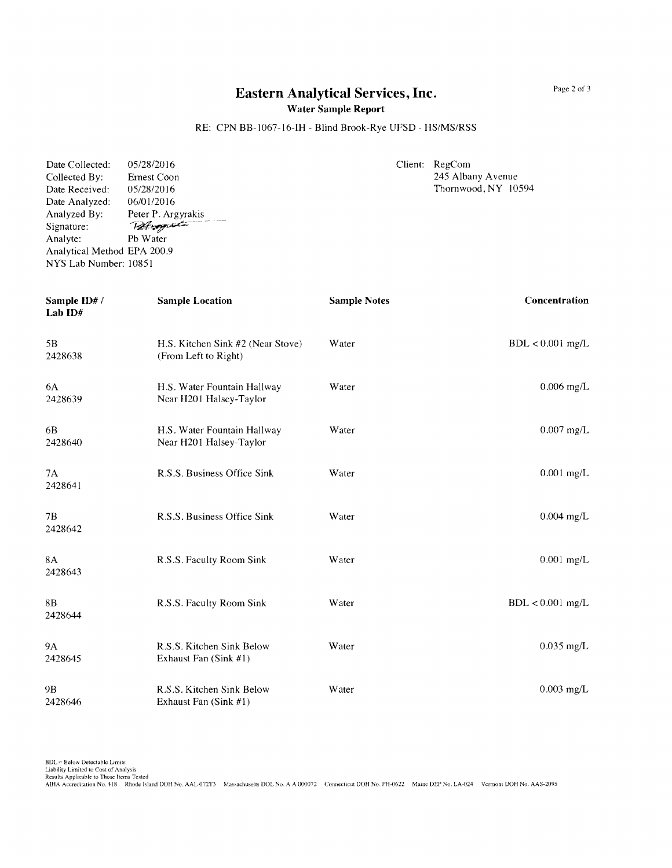# **Eastern Analytical Services, Inc.** Page 2 of 3

**Water Sample Report** 

RE: CPN BB-1067-16-IH - Blind Brook-Rye UFSD - HS/MS/RSS

Date Collected: 05/28/2016 Collected By: Ernest Coon Date Received: 05/28/2016 Date Analyzed: 06/01/2016 Analyzed By: Peter P. Argyrakis Signature: Petropolis Analyte: Pb Water Analytical Method EPA 200.9 NYS Lab Number: 1085 I Client: RegCom

**Sample** ID#/ Lab ID# 5B 2428638 6A 2428639 6B 2428640 7A 2428641 7B 2428642 SA 2428643 SB 2428644 9A 2428645 9B 2428646 **Sample Location**  H.S. Kitchen Sink #2 (Near Stove) (From Left to Right) H.S. Water Fountain Hallway Near H201 Halsey-Taylor H.S. Water Fountain Hallway Near H201 Halsey-Taylor R.S.S. Business Office Sink R.S.S. Business Office Sink R.S.S. Faculty Room Sink R.S.S. Faculty Room Sink R.S.S. Kitchen Sink Below Exhaust Fan (Sink #I) R.S.S. Kitchen Sink Below Exhaust Fan (Sink #1) **Sample Notes**  Water Water Water Water Water Water Water Water Water **Concentration**  BDL < 0.001 mg/L 0.006 mg/L 0.007 mg/L 0.001 mg/L 0.004 mg/L 0.001 mg/L BDL < 0.001 mg/L 0.035 mg/L 0.003 mg/L

BDL = Below Detectable Limits

Liability Limited to Cost of Analysis Results Applicable to Those Items Tested

AIHA Accreditation No. 418 Rhode Island DOH No. AAL-072T3 Massachusetts DOL No. A A 000072 Connecticut DOH No. PH-0622 Maine DEP No. LA-024 Vermont DOH No. AAS-2095

245 Albany Avenue Thorn wood, NY 10594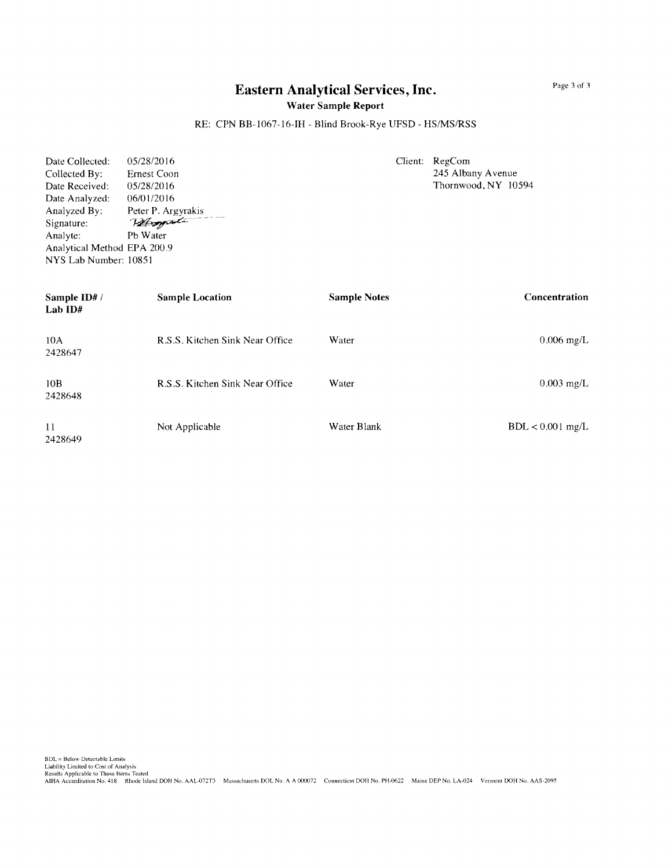# **Eastern Analytical Services, Inc.** Page 3 of 3

**Water Sample Report** 

RE: CPN BB-1067-16-IH - Blind Brook-Rye UFSD - HS/MS/RSS

Client: RegCom

245 Albany A venue Thornwood, NY 10594

Date Collected: Collected By: Date Received: Date Analyzed: Analyzed By: Signature:<br>Analyte: 05/28/2016 Ernest Coon 05/28/2016 06/01/2016 Peter P. Argyrakis Pb Water Analytical Method EPA 200.9 NYS Lab Number: 10851

Sample **ID#** / Lab ID#  $10A$ 2428647 JOB 2428648 11 2428649 **Sample Location**  R.S.S. Kitchen Sink Near Office R.S.S. Kitchen Sink Near Office Not Applicable **Sample Notes**  Water Water Water Blank **Concentration**  0.006 mg/L 0.003 mg/L  $BDL < 0.001$  mg/L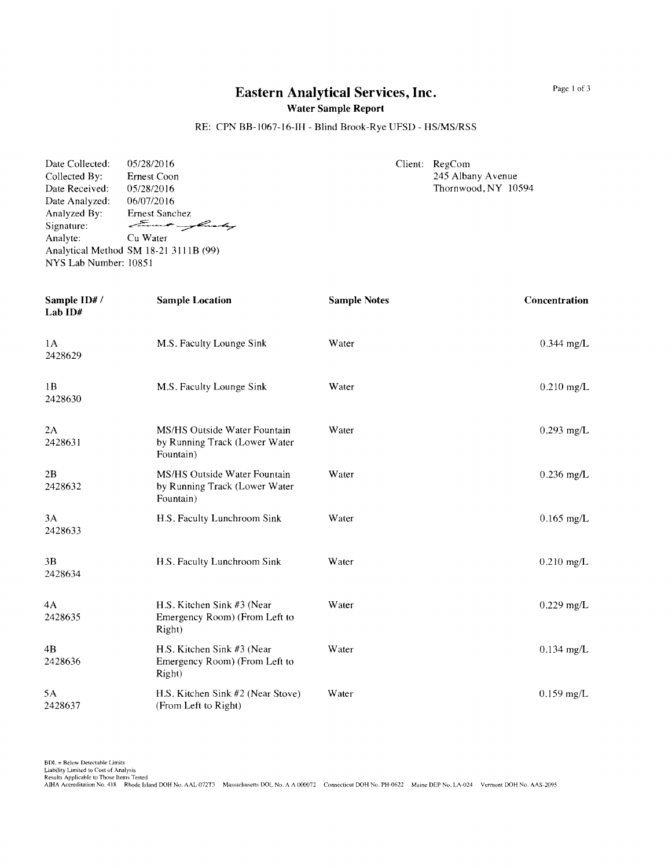**Water Sample Report** 

RE: CPN BB- 1067-16-IH - Blind Brook-Rye UFSD - HS/MS/RSS

Date Collected: Collected By: Date Received: Date Analyzed: Analyzed By:<br>Signature: 05/28/2016 Ernest Coon 05/28/2016 06/07/2016 Ernest Sanchez Signature: <br>Analyte: Cu Water Cu Water Analytical Method *SM* 18-21 3111B (99) NYS Lab Number: 10851

Client: RegCom 245 Albany Avenue Thornwood, NY 10594

| Sample ID#/<br>Lab $ID#$ | <b>Sample Location</b>                                                     | <b>Sample Notes</b> | Concentration |
|--------------------------|----------------------------------------------------------------------------|---------------------|---------------|
| 1A<br>2428629            | M.S. Faculty Lounge Sink                                                   | Water               | $0.344$ mg/L  |
| 1B<br>2428630            | M.S. Faculty Lounge Sink                                                   | Water               | $0.210$ mg/L  |
| 2A<br>2428631            | MS/HS Outside Water Fountain<br>by Running Track (Lower Water<br>Fountain) | Water               | $0.293$ mg/L  |
| 2B<br>2428632            | MS/HS Outside Water Fountain<br>by Running Track (Lower Water<br>Fountain) | Water               | $0.236$ mg/L  |
| 3A<br>2428633            | H.S. Faculty Lunchroom Sink                                                | Water               | $0.165$ mg/L  |
| 3B<br>2428634            | H.S. Faculty Lunchroom Sink                                                | Water               | $0.210$ mg/L  |
| 4A<br>2428635            | H.S. Kitchen Sink #3 (Near<br>Emergency Room) (From Left to<br>Right)      | Water               | $0.229$ mg/L  |
| 4B<br>2428636            | H.S. Kitchen Sink #3 (Near<br>Emergency Room) (From Left to<br>Right)      | Water               | $0.134$ mg/L  |
| 5A<br>2428637            | H.S. Kitchen Sink #2 (Near Stove)<br>(From Left to Right)                  | Water               | $0.159$ mg/L  |

BDL = Below Detectable Limits

Liability Limited to Cost of Analysis<br>Results Applicable to Those Items Tested<br>AIHA Accreditation No. 418 – Rhode Island DOH No. AAL-072T3 – Massachusetts DOL No. A A 000072 – Connecticut DOH No. PH-0622 – Maine DEP No. LA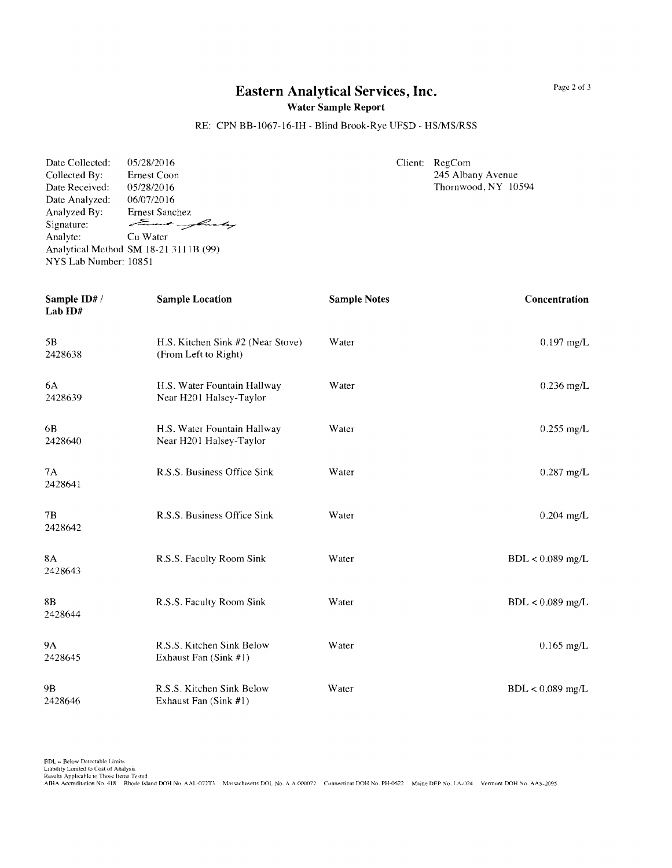# **Eastern Analytical Services, Inc.** Page 2 of 3

**Water Sample Report** 

RE: CPN BB-1067-16-IH - Blind Brook-Rye UFSD - HS/MS/RSS

Date Collected: 05/28/2016<br>Collected By: Ernest Coon Collected By: Ernest Coon<br>Date Received: 05/28/2016 Date Received: 05/28/2016<br>Date Analyzed: 06/07/2016 Date Analyzed:<br>Analyzed By: Analyzed By: Ernest Sanchez<br>Signature: Signature: .....-===-\_.--~ Analyte: Cu Water Analytical Method SM 18-21 3 I I I **B** (99) NYS Lab Number: 10851

Client: RegCom 245 Albany Avenue Thornwood, NY 10594

| Sample ID#/<br>Lab ID# | <b>Sample Location</b>                                    | <b>Sample Notes</b> | Concentration      |
|------------------------|-----------------------------------------------------------|---------------------|--------------------|
| 5B<br>2428638          | H.S. Kitchen Sink #2 (Near Stove)<br>(From Left to Right) | Water               | $0.197$ mg/L       |
| 6A<br>2428639          | H.S. Water Fountain Hallway<br>Near H201 Halsey-Taylor    | Water               | $0.236$ mg/L       |
| 6B<br>2428640          | H.S. Water Fountain Hallway<br>Near H201 Halsey-Taylor    | Water               | $0.255$ mg/L       |
| 7A<br>2428641          | R.S.S. Business Office Sink                               | Water               | $0.287$ mg/L       |
| 7B<br>2428642          | R.S.S. Business Office Sink                               | Water               | $0.204$ mg/L       |
| <b>8A</b><br>2428643   | R.S.S. Faculty Room Sink                                  | Water               | $BDL < 0.089$ mg/L |
| 8B<br>2428644          | R.S.S. Faculty Room Sink                                  | Water               | $BDL < 0.089$ mg/L |
| <b>9A</b><br>2428645   | R.S.S. Kitchen Sink Below<br>Exhaust Fan (Sink #1)        | Water               | $0.165$ mg/L       |
| 9B<br>2428646          | R.S.S. Kitchen Sink Below<br>Exhaust Fan (Sink #1)        | Water               | $BDL < 0.089$ mg/L |

Liability Limited to Cost of Analysis<br>Results Applicable to Those Items Tested<br>AIHA Accreditation No. 418 – Rhode Island DOH No. AAL-072T3 – Massachusetts DOL No. A A 000072 – Connecticut DOH No. PH-0622 – Maine DEP No. LA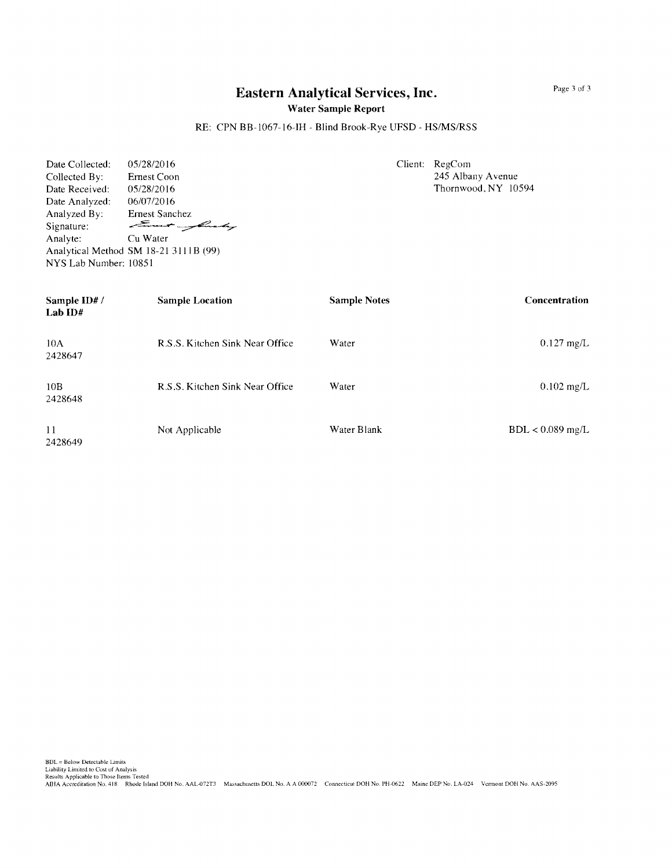# **Eastern Analytical Services, Inc.** Page 3 of 3

**Water Sample Report** 

RE: CPN BB-1067-16-IH - Blind Brook-Rye UFSD - HS/MS/RSS

Date Collected: 05/28/2016 Collected By: Ernest Coon Date Received: 05/28/2016<br>Date Analyzed: 06/07/2016 Date Analyzed: Analyzed By: Ernest Sanchez Signature: <br>Analyte: Cu Water Cu Water Analytical Method **SM** 18-21 31 l lB (99) NYS Lab Number: 10851

Client: RegCom 245 Albany Avenue Thornwood, NY 10594

| Sample ID#/<br>Lab $ID#$ | <b>Sample Location</b>          | <b>Sample Notes</b> | <b>Concentration</b> |  |
|--------------------------|---------------------------------|---------------------|----------------------|--|
| 10A<br>2428647           | R.S.S. Kitchen Sink Near Office | Water               | $0.127$ mg/L         |  |
| 10B<br>2428648           | R.S.S. Kitchen Sink Near Office | Water               | $0.102 \text{ mg/L}$ |  |
| 11<br>2428649            | Not Applicable                  | Water Blank         | $BDL < 0.089$ mg/L   |  |